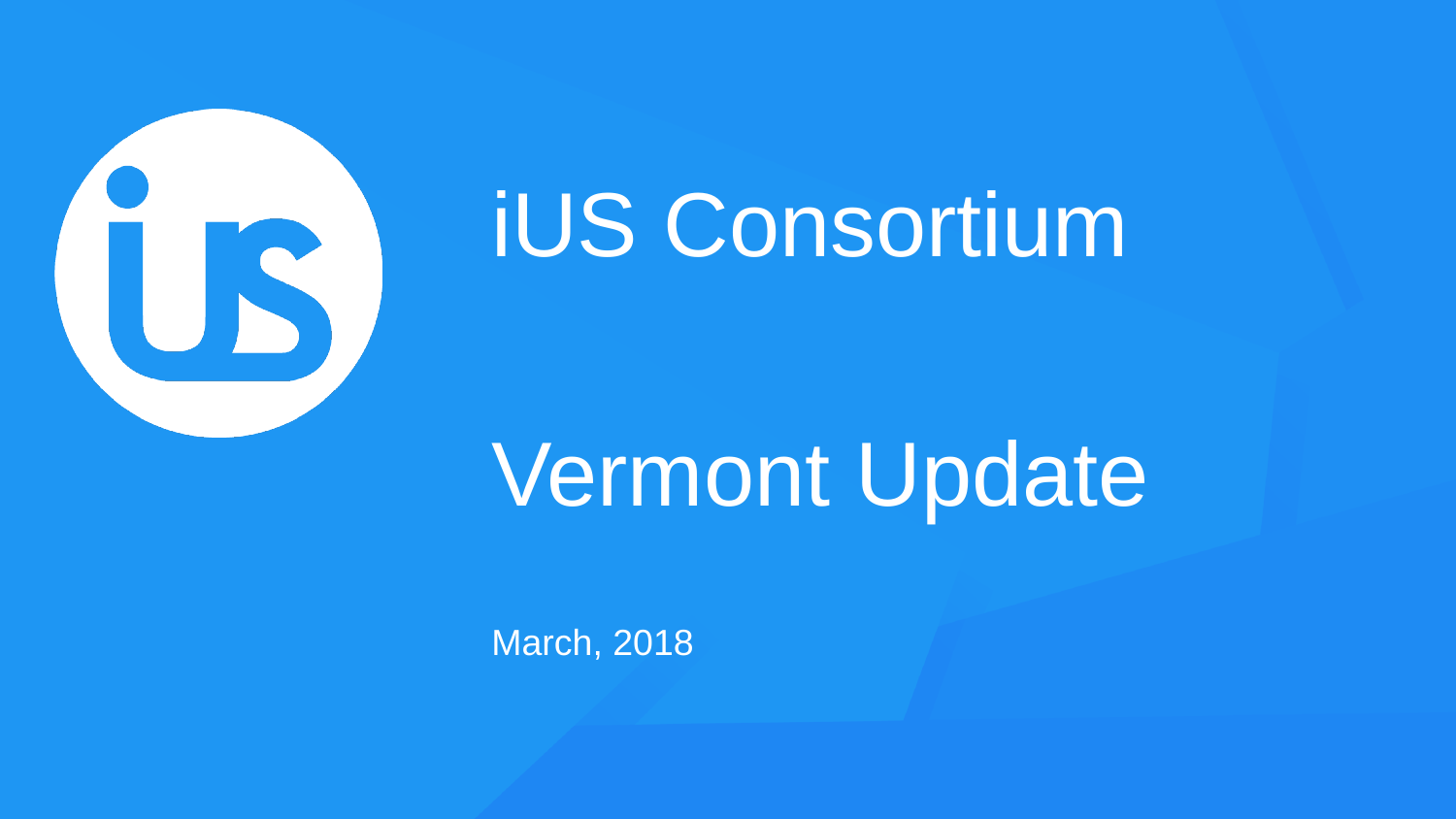

## iUS Consortium

## Vermont Update

March, 2018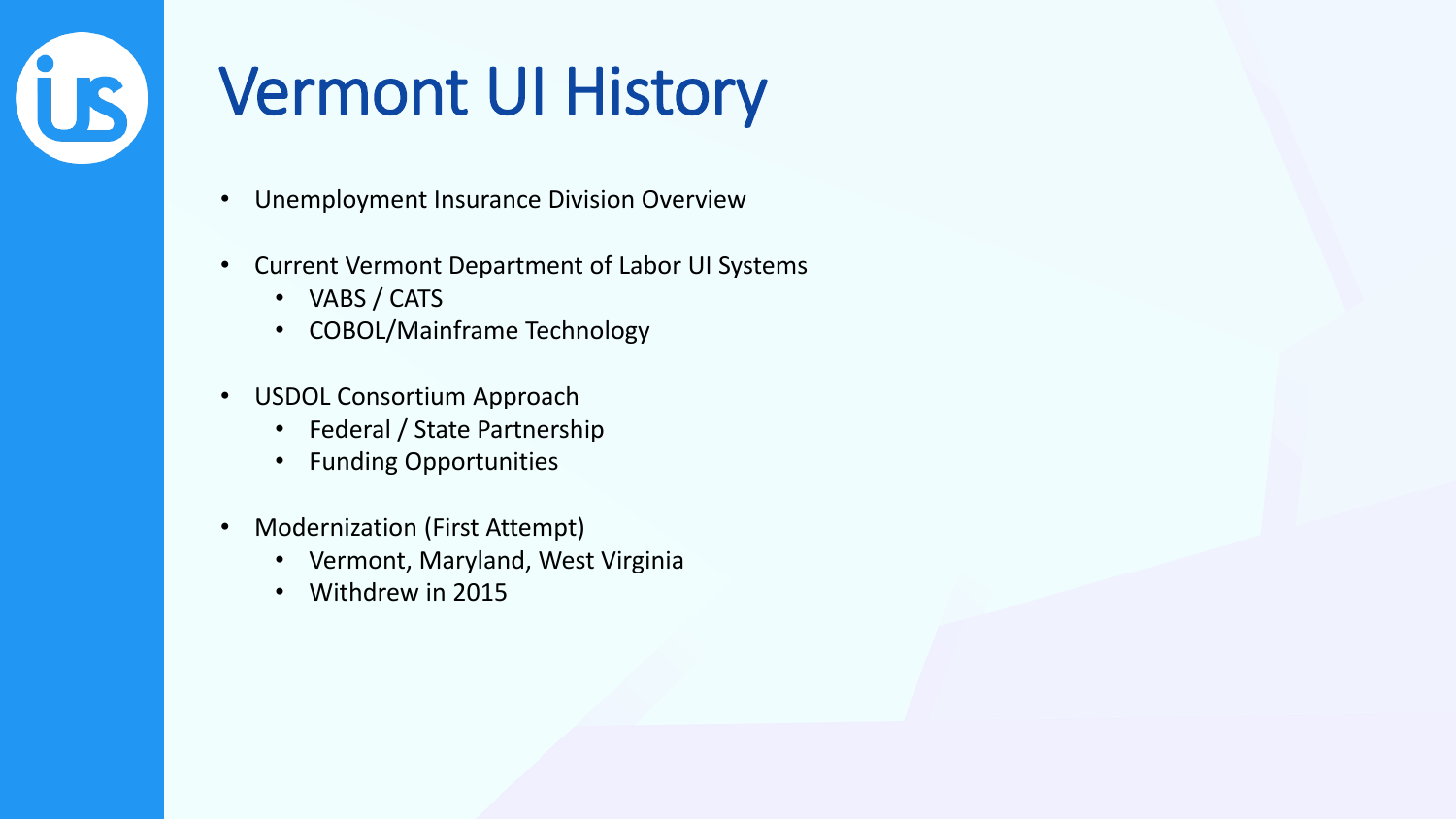# **US**

#### Vermont UI History

- Unemployment Insurance Division Overview
- Current Vermont Department of Labor UI Systems
	- VABS / CATS
	- COBOL/Mainframe Technology
- USDOL Consortium Approach
	- Federal / State Partnership
	- Funding Opportunities
- Modernization (First Attempt)
	- Vermont, Maryland, West Virginia
	- Withdrew in 2015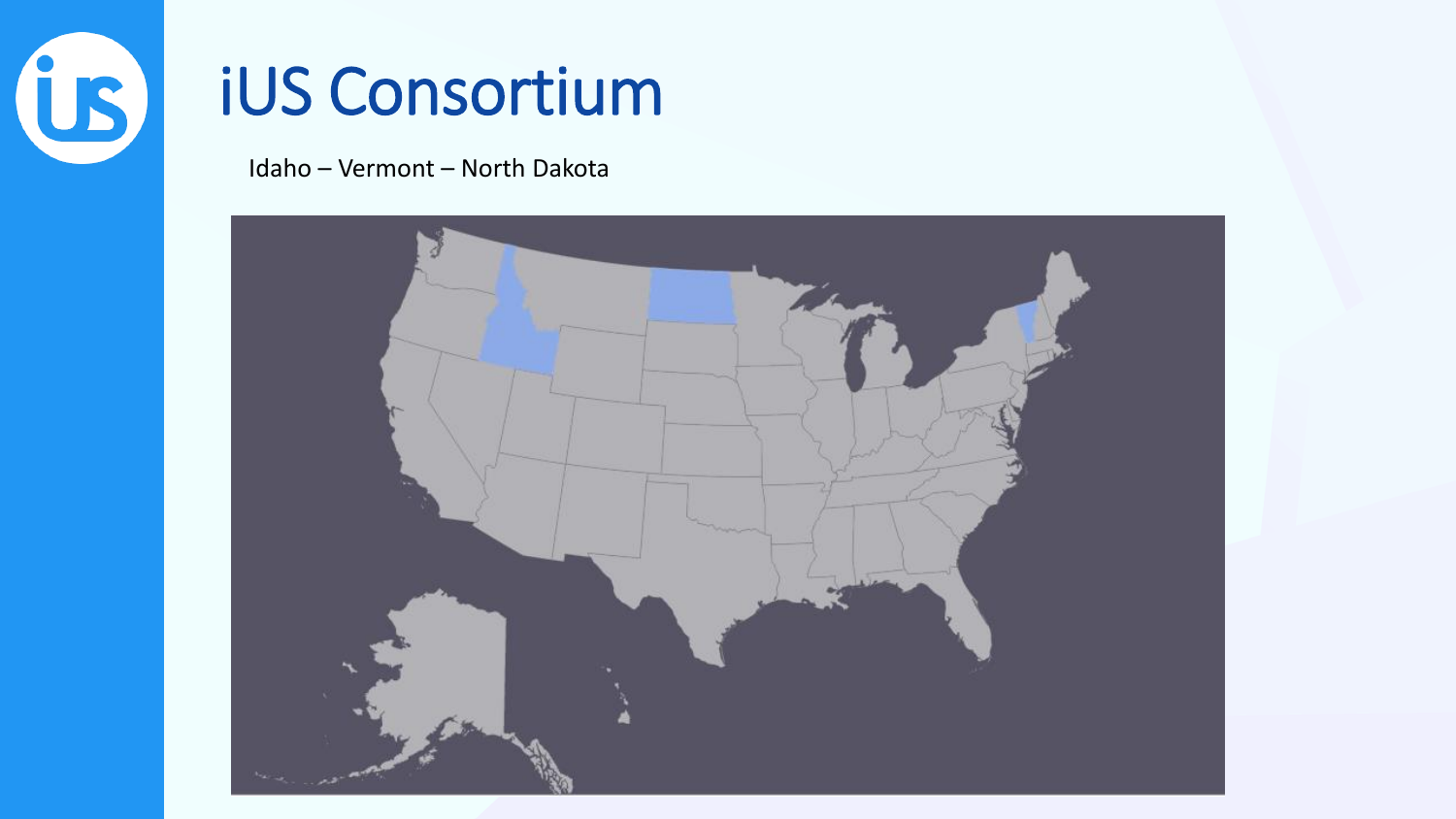

#### **iUS Consortium**

Idaho - Vermont - North Dakota

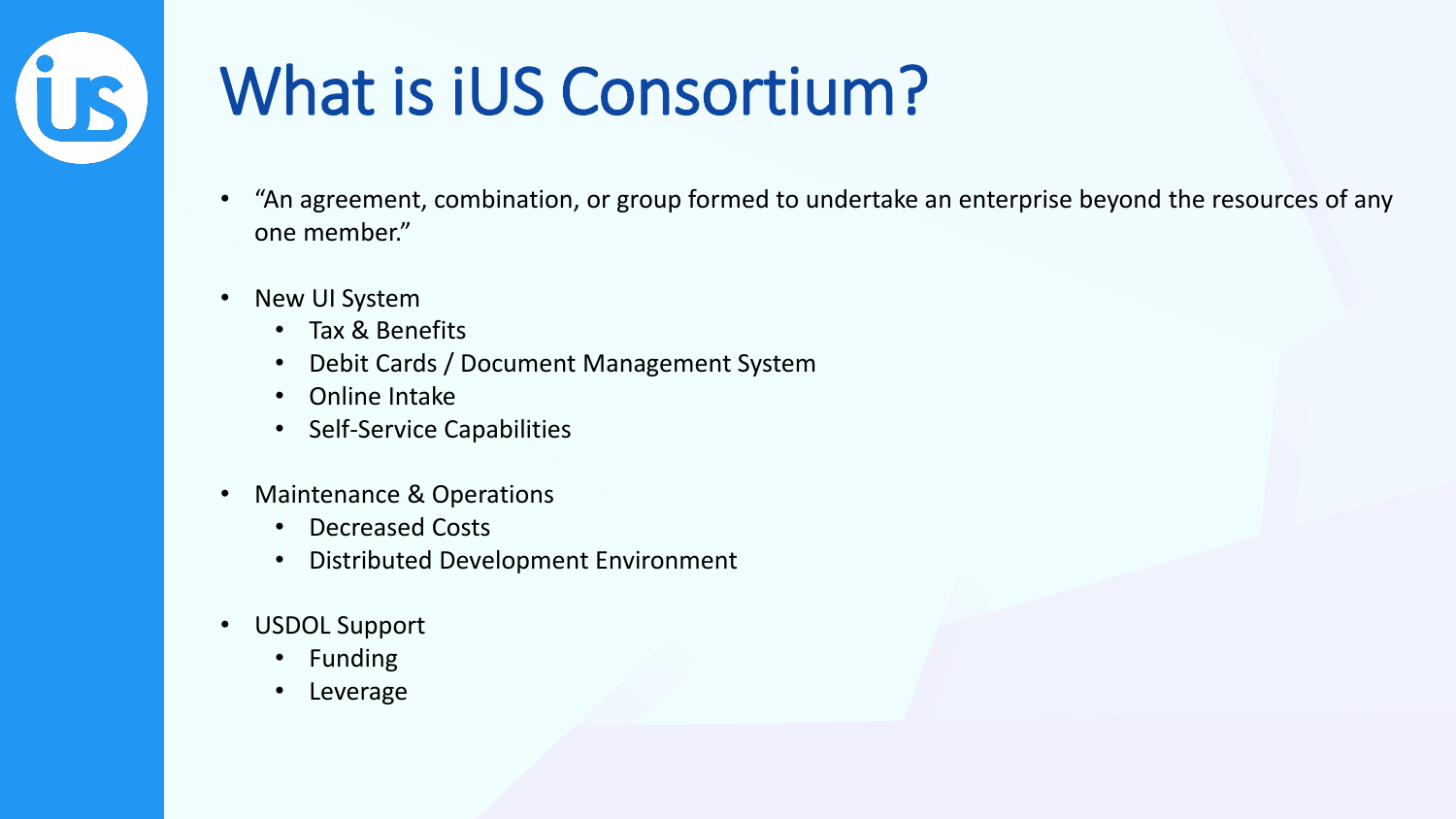

#### What is iUS Consortium?

- "An agreement, combination, or group formed to undertake an enterprise beyond the resources of any one member."
- New UI System
	- Tax & Benefits
	- Debit Cards / Document Management System
	- Online Intake
	- Self-Service Capabilities
- Maintenance & Operations
	- Decreased Costs
	- Distributed Development Environment
- USDOL Support
	- Funding
	- **Leverage**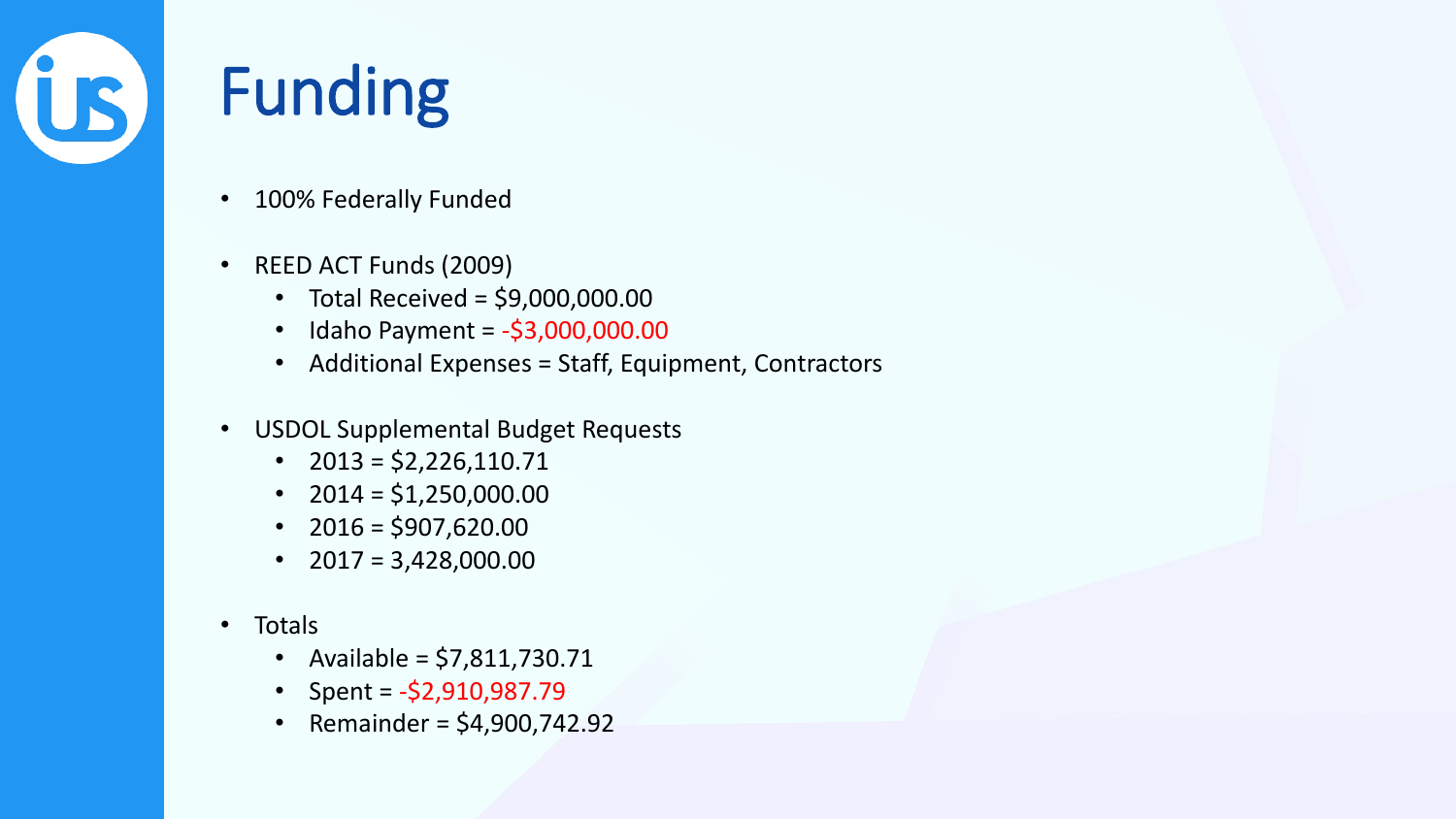

#### Funding

- 100% Federally Funded
- REED ACT Funds (2009)
	- Total Received =  $$9,000,000.00$
	- Idaho Payment =  $-53,000,000.00$
	- Additional Expenses = Staff, Equipment, Contractors
- USDOL Supplemental Budget Requests
	- $2013 = $2,226,110.71$
	- $2014 = $1,250,000.00$
	- $2016 = $907,620.00$
	- $2017 = 3,428,000.00$
- Totals
	- Available = \$7,811,730.71
	- Spent =  $-52,910,987.79$
	- Remainder =  $$4,900,742.92$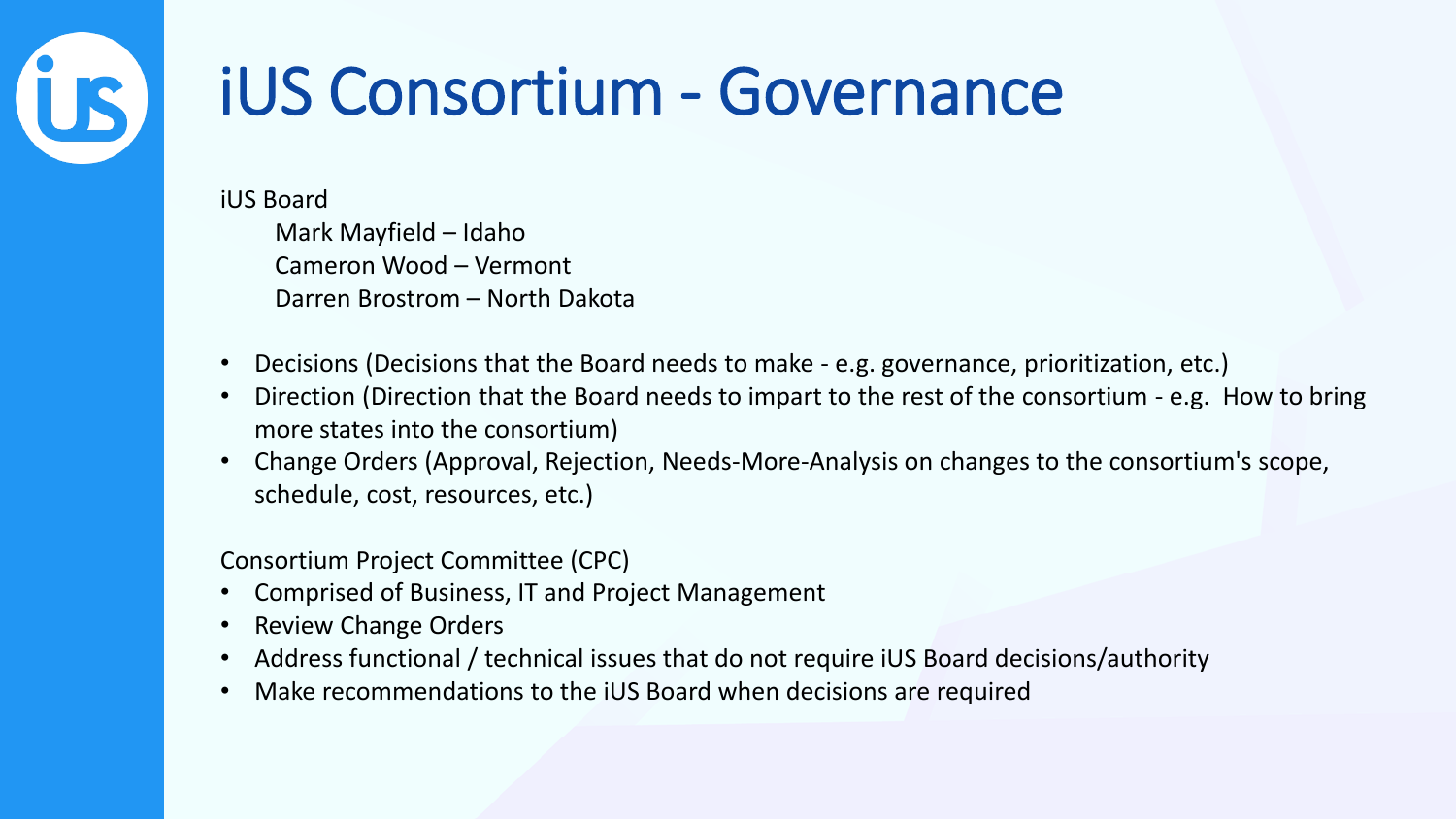# **US**

#### iUS Consortium - Governance

iUS Board

Mark Mayfield – Idaho Cameron Wood – Vermont Darren Brostrom – North Dakota

- Decisions (Decisions that the Board needs to make e.g. governance, prioritization, etc.)
- Direction (Direction that the Board needs to impart to the rest of the consortium e.g. How to bring more states into the consortium)
- Change Orders (Approval, Rejection, Needs-More-Analysis on changes to the consortium's scope, schedule, cost, resources, etc.)

Consortium Project Committee (CPC)

- Comprised of Business, IT and Project Management
- Review Change Orders
- Address functional / technical issues that do not require iUS Board decisions/authority
- Make recommendations to the iUS Board when decisions are required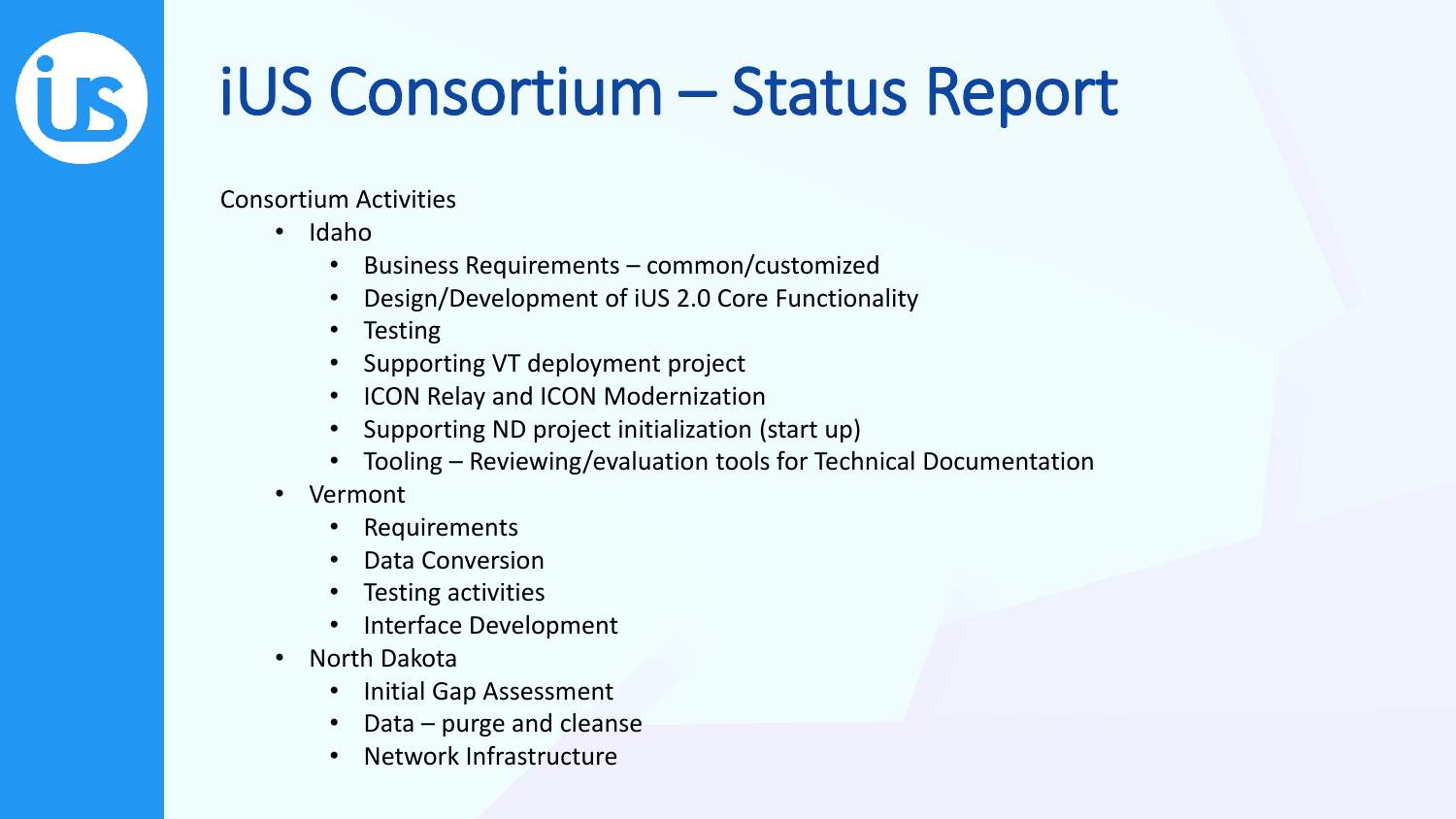### iUS Consortium – Status Report

Consortium Activities

• Idaho

US,

- Business Requirements common/customized
- Design/Development of iUS 2.0 Core Functionality
- Testing
- Supporting VT deployment project
- ICON Relay and ICON Modernization
- Supporting ND project initialization (start up)
- Tooling Reviewing/evaluation tools for Technical Documentation
- Vermont
	- **Requirements**
	- Data Conversion
	- Testing activities
	- Interface Development
- North Dakota
	- Initial Gap Assessment
	- Data purge and cleanse
	- Network Infrastructure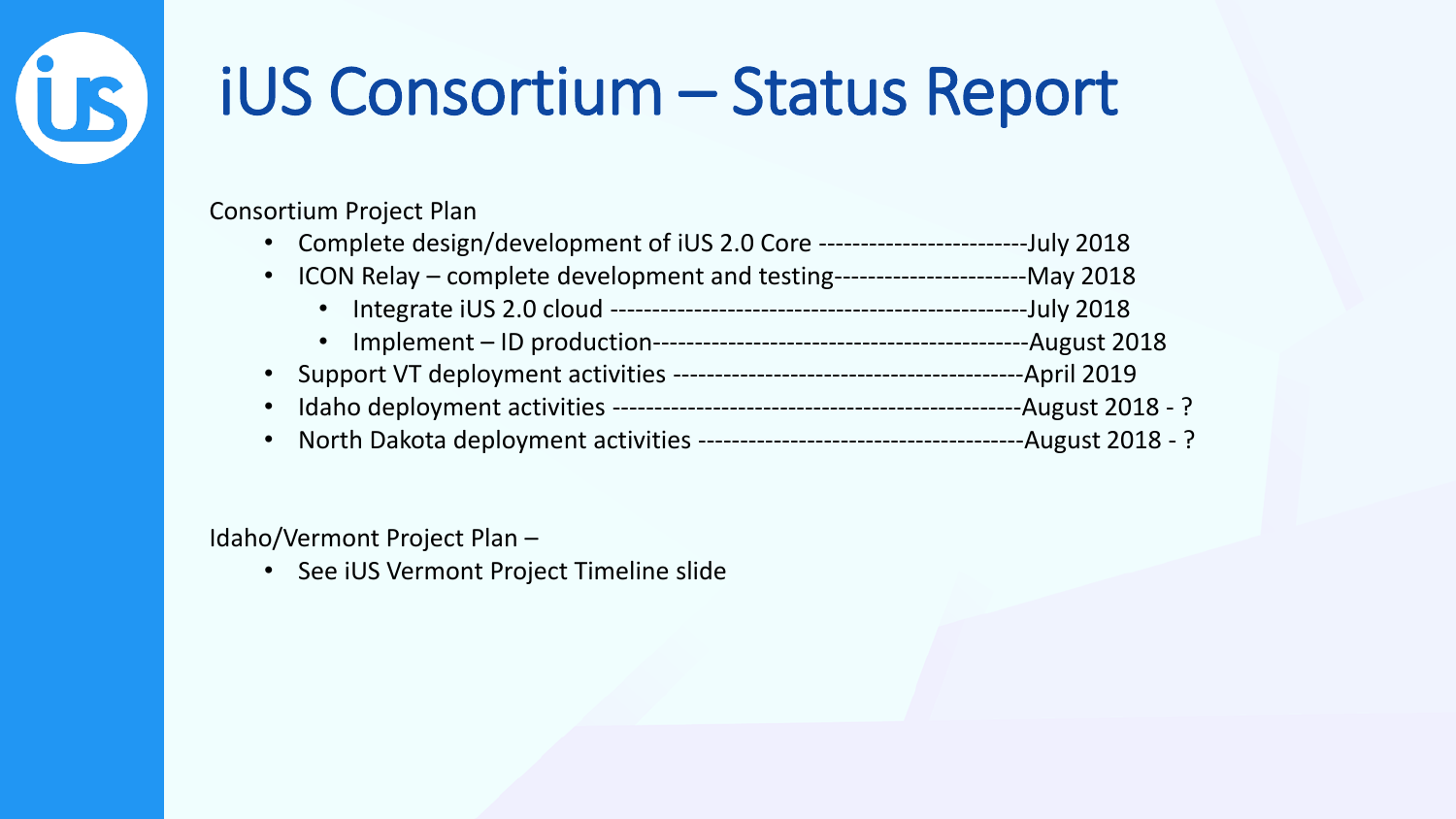### iUS Consortium – Status Report

Consortium Project Plan

**US** 

- Complete design/development of iUS 2.0 Core -------------------------July 2018
- ICON Relay complete development and testing-----------------------May 2018
	- Integrate iUS 2.0 cloud --------------------------------------------------July 2018
	- Implement ID production---------------------------------------------August 2018
- Support VT deployment activities ------------------------------------------April 2019
- Idaho deployment activities -------------------------------------------------August 2018 ?
- North Dakota deployment activities ---------------------------------------August 2018 ?

Idaho/Vermont Project Plan –

• See iUS Vermont Project Timeline slide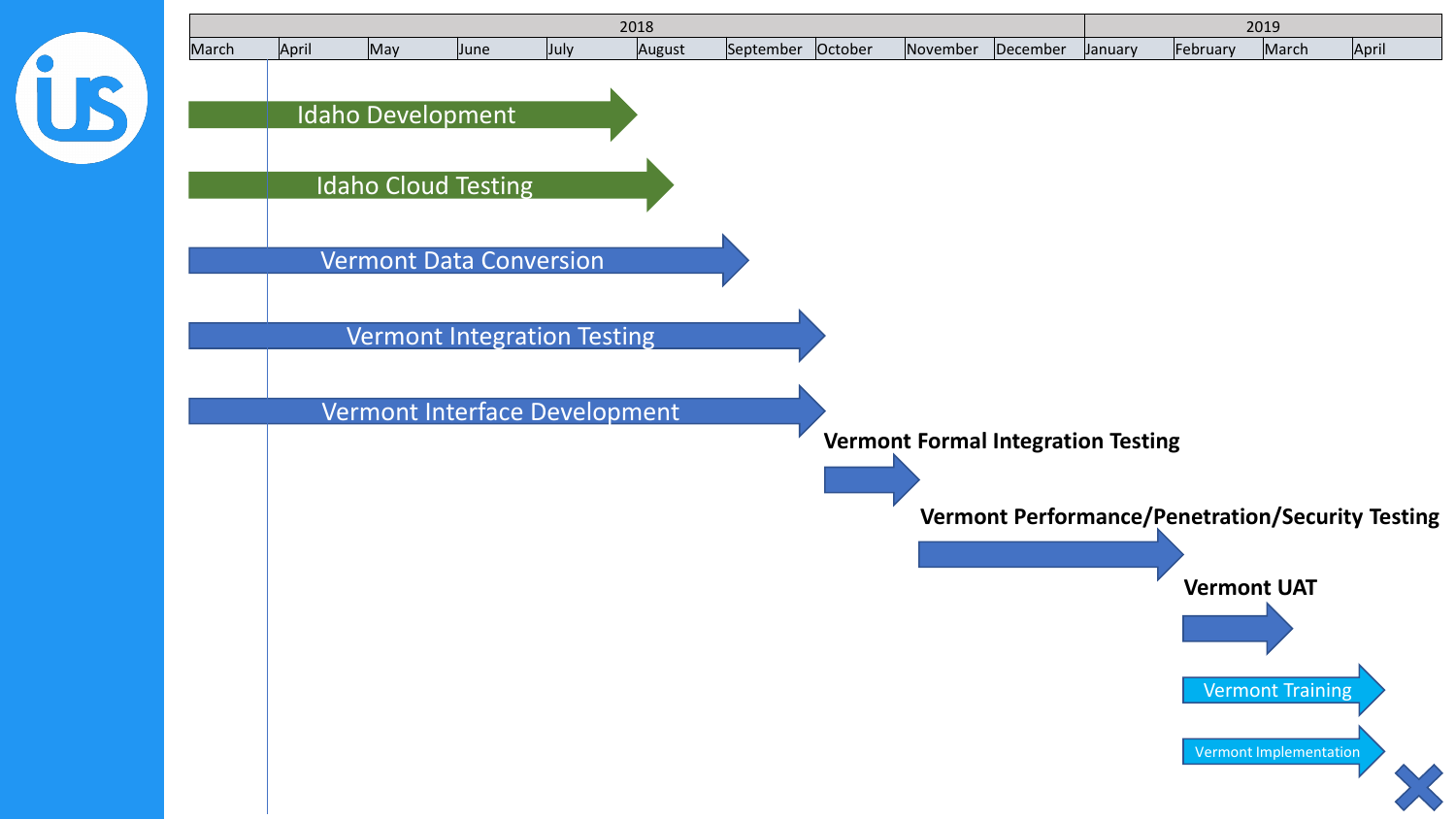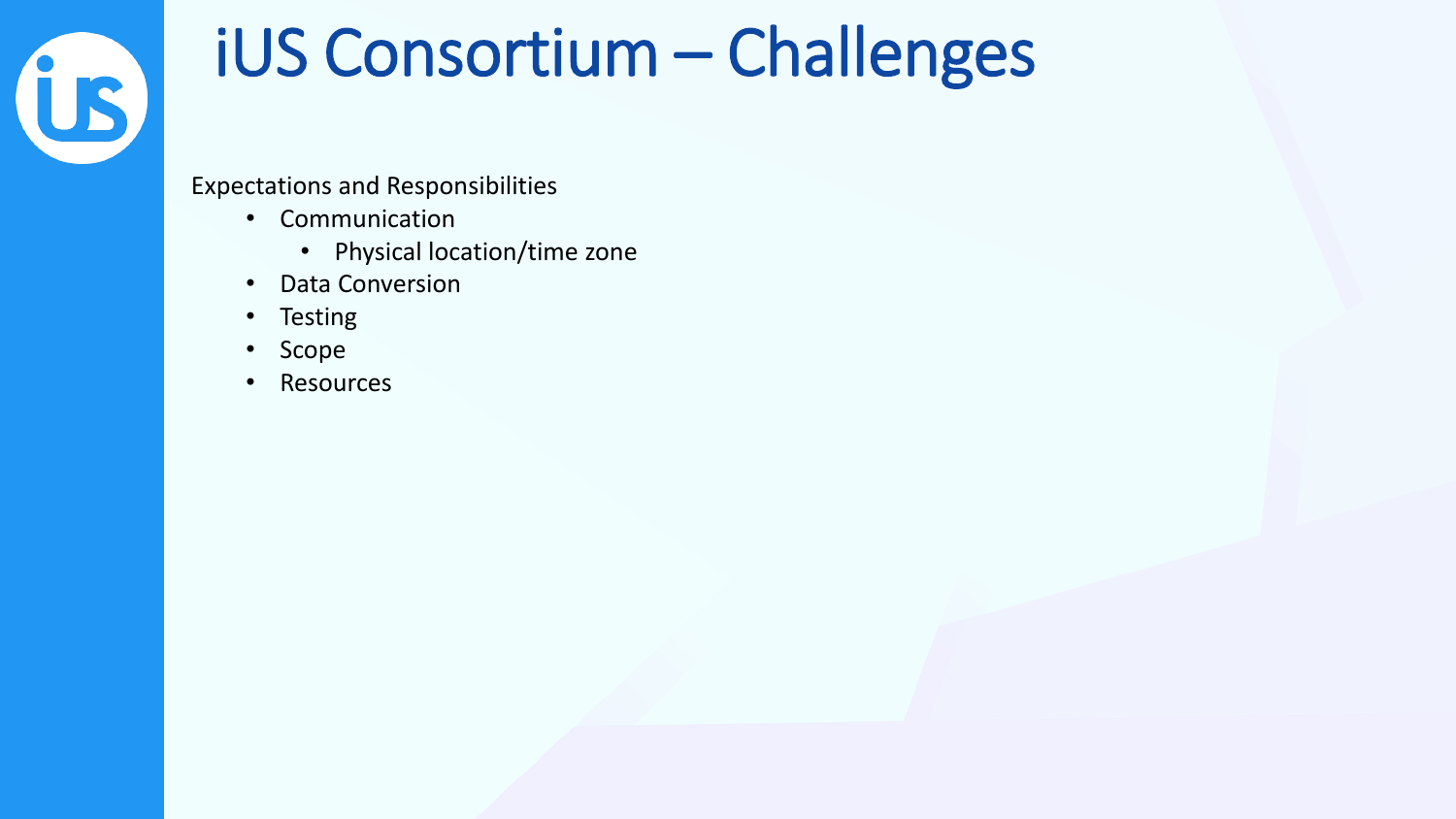

#### iUS Consortium – Challenges

Expectations and Responsibilities

- Communication
	- Physical location/time zone
- Data Conversion
- Testing
- Scope
- **Resources**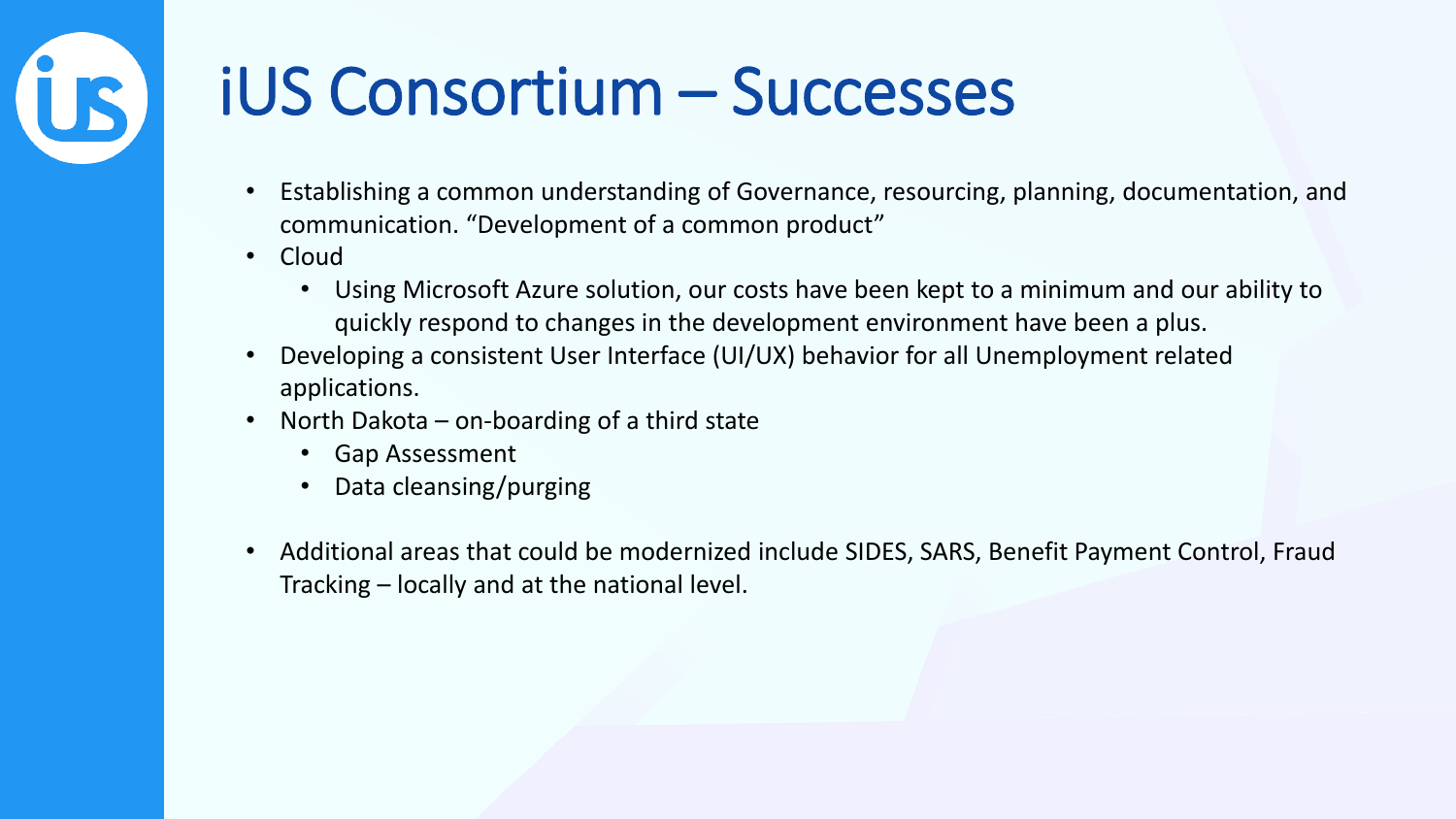### iUS Consortium – Successes

- Establishing a common understanding of Governance, resourcing, planning, documentation, and communication. "Development of a common product"
- Cloud

US.

- Using Microsoft Azure solution, our costs have been kept to a minimum and our ability to quickly respond to changes in the development environment have been a plus.
- Developing a consistent User Interface (UI/UX) behavior for all Unemployment related applications.
- North Dakota on-boarding of a third state
	- Gap Assessment
	- Data cleansing/purging
- Additional areas that could be modernized include SIDES, SARS, Benefit Payment Control, Fraud Tracking – locally and at the national level.